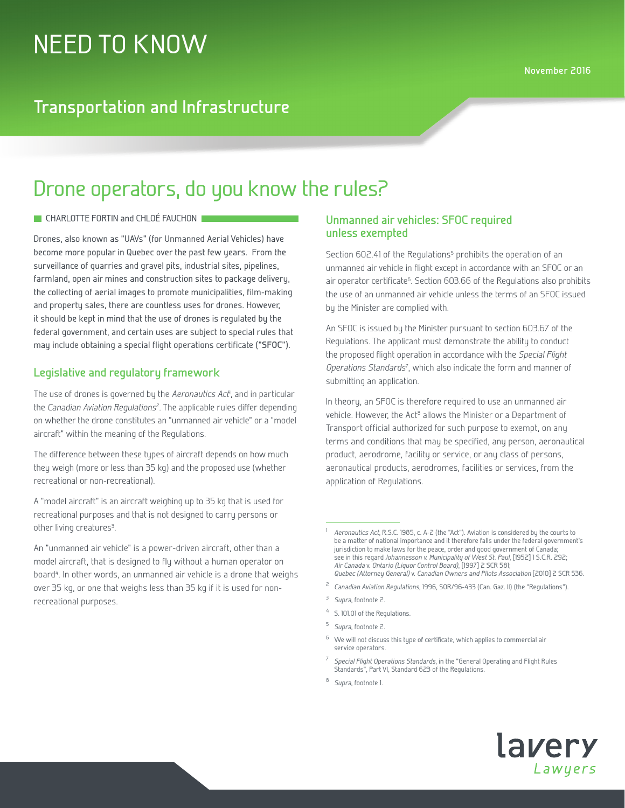## **Transportation and Infrastructure**

# Drone operators, do you know the rules?

#### **CHARLOTTE FORTIN and CHLOÉ FAUCHON**

Drones, also known as "UAVs" (for Unmanned Aerial Vehicles) have become more popular in Quebec over the past few years. From the surveillance of quarries and gravel pits, industrial sites, pipelines, farmland, open air mines and construction sites to package delivery, the collecting of aerial images to promote municipalities, film-making and property sales, there are countless uses for drones. However, it should be kept in mind that the use of drones is regulated by the federal government, and certain uses are subject to special rules that may include obtaining a special flight operations certificate ("**SFOC**").

### **Legislative and regulatory framework**

The use of drones is governed by the *Aeronautics Act*<sup>1</sup> , and in particular the *Canadian Aviation Regulations*<sup>2</sup> . The applicable rules differ depending on whether the drone constitutes an "unmanned air vehicle" or a "model aircraft" within the meaning of the Regulations.

The difference between these types of aircraft depends on how much they weigh (more or less than 35 kg) and the proposed use (whether recreational or non-recreational).

A "model aircraft" is an aircraft weighing up to 35 kg that is used for recreational purposes and that is not designed to carry persons or other living creatures<sup>3</sup>. .

An "unmanned air vehicle" is a power-driven aircraft, other than a model aircraft, that is designed to fly without a human operator on board<sup>4</sup>. In other words, an unmanned air vehicle is a drone that weighs over 35 kg, or one that weighs less than 35 kg if it is used for nonrecreational purposes.

### **Unmanned air vehicles: SFOC required unless exempted**

Section 602.41 of the Regulations<sup>5</sup> prohibits the operation of an unmanned air vehicle in flight except in accordance with an SFOC or an air operator certificate<sup>6</sup>. Section 603.66 of the Regulations also prohibits the use of an unmanned air vehicle unless the terms of an SFOC issued by the Minister are complied with.

An SFOC is issued by the Minister pursuant to section 603.67 of the Regulations. The applicant must demonstrate the ability to conduct the proposed flight operation in accordance with the *Special Flight Operations Standards*<sup>7</sup> , which also indicate the form and manner of submitting an application.

In theory, an SFOC is therefore required to use an unmanned air vehicle. However, the Act<sup>8</sup> allows the Minister or a Department of Transport official authorized for such purpose to exempt, on any terms and conditions that may be specified, any person, aeronautical product, aerodrome, facility or service, or any class of persons, aeronautical products, aerodromes, facilities or services, from the application of Regulations.

- <sup>3</sup> *Supra*, footnote 2.
- <sup>4</sup> S. 101.01 of the Regulations.
- <sup>5</sup> *Supra*, footnote 2.
- $6$  We will not discuss this type of certificate, which applies to commercial air service operators.
- <sup>7</sup> *Special Flight Operations Standards*, in the "General Operating and Flight Rules Standards", Part VI, Standard 623 of the Regulations.
- <sup>8</sup> *Supra*, footnote 1.



<sup>1</sup> *Aeronautics Act*, R.S.C. 1985, c. A-2 (the "Act"). Aviation is considered by the courts to be a matter of national importance and it therefore falls under the federal government's jurisdiction to make laws for the peace, order and good government of Canada; see in this regard *Johannesson v. Municipality of West St. Paul*, [1952] 1 S.C.R. 292; *Air Canada* v. *Ontario (Liquor Control Board)*, [1997] 2 SCR 581; *Quebec (Attorney General)* v. *Canadian Owners and Pilots Association* [2010] 2 SCR 536.

<sup>2</sup> *Canadian Aviation Regulations*, 1996, SOR/96-433 (Can. Gaz. II) (the "Regulations").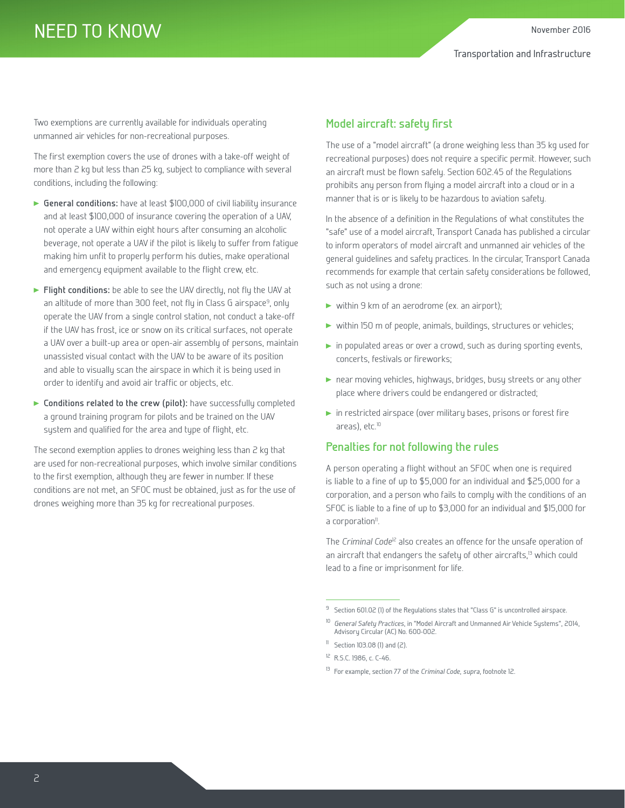Two exemptions are currently available for individuals operating unmanned air vehicles for non-recreational purposes.

The first exemption covers the use of drones with a take-off weight of more than 2 kg but less than 25 kg, subject to compliance with several conditions, including the following:

- **General conditions:** have at least \$100,000 of civil liability insurance and at least \$100,000 of insurance covering the operation of a UAV, not operate a UAV within eight hours after consuming an alcoholic beverage, not operate a UAV if the pilot is likely to suffer from fatigue making him unfit to properly perform his duties, make operational and emergency equipment available to the flight crew, etc.
- **Flight conditions:** be able to see the UAV directly, not fly the UAV at an altitude of more than 300 feet, not fly in Class G airspace<sup>9</sup>, only operate the UAV from a single control station, not conduct a take-off if the UAV has frost, ice or snow on its critical surfaces, not operate a UAV over a built-up area or open-air assembly of persons, maintain unassisted visual contact with the UAV to be aware of its position and able to visually scan the airspace in which it is being used in order to identify and avoid air traffic or objects, etc.
- **Conditions related to the crew (pilot):** have successfully completed a ground training program for pilots and be trained on the UAV system and qualified for the area and type of flight, etc.

The second exemption applies to drones weighing less than 2 kg that are used for non-recreational purposes, which involve similar conditions to the first exemption, although they are fewer in number. If these conditions are not met, an SFOC must be obtained, just as for the use of drones weighing more than 35 kg for recreational purposes.

### **Model aircraft: safety first**

The use of a "model aircraft" (a drone weighing less than 35 kg used for recreational purposes) does not require a specific permit. However, such an aircraft must be flown safely. Section 602.45 of the Regulations prohibits any person from flying a model aircraft into a cloud or in a manner that is or is likely to be hazardous to aviation safety.

In the absence of a definition in the Regulations of what constitutes the "safe" use of a model aircraft, Transport Canada has published a circular to inform operators of model aircraft and unmanned air vehicles of the general guidelines and safety practices. In the circular, Transport Canada recommends for example that certain safety considerations be followed, such as not using a drone:

- ▶ within 9 km of an aerodrome (ex. an airport);
- vithin 150 m of people, animals, buildings, structures or vehicles;
- in populated areas or over a crowd, such as during sporting events, concerts, festivals or fireworks;
- near moving vehicles, highways, bridges, busy streets or any other place where drivers could be endangered or distracted;
- in restricted airspace (over military bases, prisons or forest fire areas), etc.<sup>10</sup>

#### **Penalties for not following the rules**

A person operating a flight without an SFOC when one is required is liable to a fine of up to \$5,000 for an individual and \$25,000 for a corporation, and a person who fails to comply with the conditions of an SFOC is liable to a fine of up to \$3,000 for an individual and \$15,000 for a corporation<sup>11</sup>.

The *Criminal Code<sup>12</sup>* also creates an offence for the unsafe operation of an aircraft that endangers the safety of other aircrafts,<sup>13</sup> which could lead to a fine or imprisonment for life.

<sup>9</sup> Section 601.02 (1) of the Regulations states that "Class G" is uncontrolled airspace.

<sup>10</sup> *General Safety Practices*, in "Model Aircraft and Unmanned Air Vehicle Systems", 2014, Advisory Circular (AC) No. 600-002.

 $\textsuperscript{11}$  Section 103.08 (1) and (2).

<sup>12</sup> R.S.C. 1986, c. C-46.

<sup>13</sup> For example, section 77 of the *Criminal Code*, *supra*, footnote 12.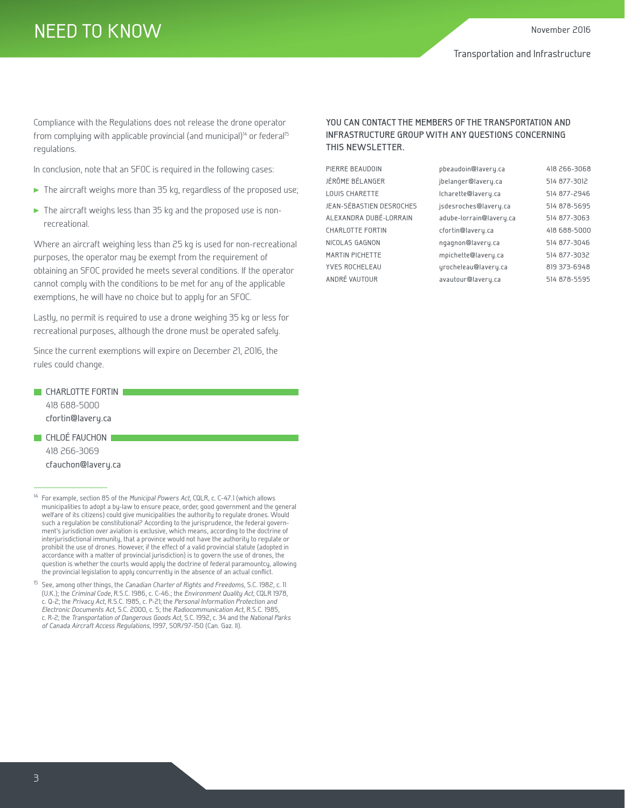# NEED TO KNOW

Compliance with the Regulations does not release the drone operator from complying with applicable provincial (and municipal)<sup>14</sup> or federal<sup>15</sup> regulations.

In conclusion, note that an SFOC is required in the following cases:

- The aircraft weighs more than 35 kg, regardless of the proposed use;
- The aircraft weighs less than 35 kg and the proposed use is nonrecreational.

Where an aircraft weighing less than 25 kg is used for non-recreational purposes, the operator may be exempt from the requirement of obtaining an SFOC provided he meets several conditions. If the operator cannot comply with the conditions to be met for any of the applicable exemptions, he will have no choice but to apply for an SFOC.

Lastly, no permit is required to use a drone weighing 35 kg or less for recreational purposes, although the drone must be operated safely.

Since the current exemptions will expire on December 21, 2016, the rules could change.

- **CHARLOTTE FORTIN** 418 688-5000 cfortin@lavery.ca
- **CHLOÉ FAUCHON** 418 266-3069 cfauchon@lavery.ca

#### **YOU CAN CONTACT THE MEMBERS OF THE TRANSPORTATION AND INFRASTRUCTURE GROUP WITH ANY QUESTIONS CONCERNING THIS NEWSLETTER.**

| PIERRE BEAUDOIN          | pbeaudoin@lavery.ca     | 418 266-3068 |
|--------------------------|-------------------------|--------------|
| JÉRÔME BÉLANGER          | jbelanger@lavery.ca     | 514 877-3012 |
| LOUIS CHARETTE           | Icharette@lavery.ca     | 514 877-2946 |
| JEAN-SÉBASTIEN DESROCHES | jsdesroches@lavery.ca   | 514 878-5695 |
| ALEXANDRA DUBÉ-LORRAIN   | adube-lorrain@lavery.ca | 514 877-3063 |
| <b>CHARLOTTE FORTIN</b>  | cfortin@lavery.ca       | 418 688-5000 |
| NICOLAS GAGNON           | ngagnon@lavery.ca       | 514 877-3046 |
| MARTIN PICHETTE          | mpichette@lavery.ca     | 514 877-3032 |
| YVES ROCHELEAU           | urocheleau@lavery.ca    | 819 373-6948 |
| ANDRÉ VAUTOUR            | avautour@lavery.ca      | 514 878-5595 |

<sup>14</sup> For example, section 85 of the *Municipal Powers Act*, CQLR, c. C-47.1 (which allows municipalities to adopt a by-law to ensure peace, order, good government and the general welfare of its citizens) could give municipalities the authority to regulate drones. Would such a regulation be constitutional? According to the jurisprudence, the federal government's jurisdiction over aviation is exclusive, which means, according to the doctrine of interjurisdictional immunity, that a province would not have the authority to regulate or prohibit the use of drones. However, if the effect of a valid provincial statute (adopted in accordance with a matter of provincial jurisdiction) is to govern the use of drones, the question is whether the courts would apply the doctrine of federal paramountcy, allowing the provincial legislation to apply concurrently in the absence of an actual conflict.

<sup>15</sup> See, among other things, the *Canadian Charter of Rights and Freedoms*, S.C. 1982, c. 11 (U.K.); the *Criminal Code*, R.S.C. 1986, c. C-46.; the *Environment Quality Act*, CQLR 1978, c. Q-2; the *Privacy Act*, R.S.C. 1985, c. P-21; the *Personal Information Protection and Electronic Documents Act*, S.C. 2000, c. 5; the *Radiocommunication Act*, R.S.C. 1985, c. R-2; the *Transportation of Dangerous Goods Act*, S.C. 1992, c. 34 and the *National Parks of Canada Aircraft Access Regulations*, 1997, SOR/97-150 (Can. Gaz. II).